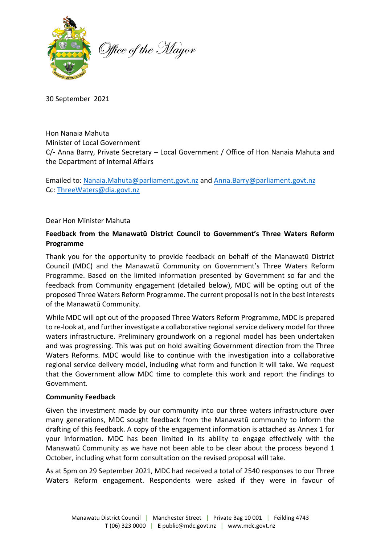

30 September 2021

Hon Nanaia Mahuta Minister of Local Government C/- Anna Barry, Private Secretary – Local Government / Office of Hon Nanaia Mahuta and the Department of Internal Affairs

Emailed to: [Nanaia.Mahuta@parliament.govt.nz](mailto:Nanaia.Mahuta@parliament.govt.nz) an[d Anna.Barry@parliament.govt.nz](mailto:Anna.Barry@parliament.govt.nz) Cc: [ThreeWaters@dia.govt.nz](mailto:ThreeWaters@dia.govt.nz)

### Dear Hon Minister Mahuta

# **Feedback from the Manawatū District Council to Government's Three Waters Reform Programme**

Thank you for the opportunity to provide feedback on behalf of the Manawatū District Council (MDC) and the Manawatū Community on Government's Three Waters Reform Programme. Based on the limited information presented by Government so far and the feedback from Community engagement (detailed below), MDC will be opting out of the proposed Three Waters Reform Programme. The current proposal is not in the best interests of the Manawatū Community.

While MDC will opt out of the proposed Three Waters Reform Programme, MDC is prepared to re-look at, and further investigate a collaborative regional service delivery model for three waters infrastructure. Preliminary groundwork on a regional model has been undertaken and was progressing. This was put on hold awaiting Government direction from the Three Waters Reforms. MDC would like to continue with the investigation into a collaborative regional service delivery model, including what form and function it will take. We request that the Government allow MDC time to complete this work and report the findings to Government.

### **Community Feedback**

Given the investment made by our community into our three waters infrastructure over many generations, MDC sought feedback from the Manawatū community to inform the drafting of this feedback. A copy of the engagement information is attached as Annex 1 for your information. MDC has been limited in its ability to engage effectively with the Manawatū Community as we have not been able to be clear about the process beyond 1 October, including what form consultation on the revised proposal will take.

As at 5pm on 29 September 2021, MDC had received a total of 2540 responses to our Three Waters Reform engagement. Respondents were asked if they were in favour of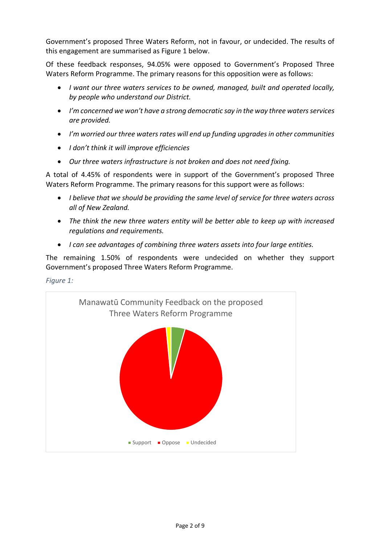Government's proposed Three Waters Reform, not in favour, or undecided. The results of this engagement are summarised as Figure 1 below.

Of these feedback responses, 94.05% were opposed to Government's Proposed Three Waters Reform Programme. The primary reasons for this opposition were as follows:

- *I want our three waters services to be owned, managed, built and operated locally, by people who understand our District.*
- *I'm concerned we won't have a strong democratic say in the way three waters services are provided.*
- *I'm worried our three waters rates will end up funding upgrades in other communities*
- *I don't think it will improve efficiencies*
- *Our three waters infrastructure is not broken and does not need fixing.*

A total of 4.45% of respondents were in support of the Government's proposed Three Waters Reform Programme. The primary reasons for this support were as follows:

- *I believe that we should be providing the same level of service for three waters across all of New Zealand.*
- *The think the new three waters entity will be better able to keep up with increased regulations and requirements.*
- *I can see advantages of combining three waters assets into four large entities.*

The remaining 1.50% of respondents were undecided on whether they support Government's proposed Three Waters Reform Programme.

*Figure 1:*

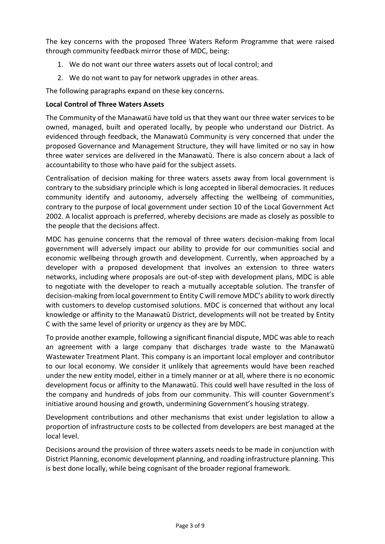The key concerns with the proposed Three Waters Reform Programme that were raised through community feedback mirror those of MDC, being:

- 1. We do not want our three waters assets out of local control; and
- 2. We do not want to pay for network upgrades in other areas.

The following paragraphs expand on these key concerns.

# **Local Control of Three Waters Assets**

The Community of the Manawatū have told us that they want our three water services to be owned, managed, built and operated locally, by people who understand our District. As evidenced through feedback, the Manawatū Community is very concerned that under the proposed Governance and Management Structure, they will have limited or no say in how three water services are delivered in the Manawatū. There is also concern about a lack of accountability to those who have paid for the subject assets.

Centralisation of decision making for three waters assets away from local government is contrary to the subsidiary principle which is long accepted in liberal democracies. It reduces community identify and autonomy, adversely affecting the wellbeing of communities, contrary to the purpose of local government under section 10 of the Local Government Act 2002. A localist approach is preferred, whereby decisions are made as closely as possible to the people that the decisions affect.

MDC has genuine concerns that the removal of three waters decision-making from local government will adversely impact our ability to provide for our communities social and economic wellbeing through growth and development. Currently, when approached by a developer with a proposed development that involves an extension to three waters networks, including where proposals are out-of-step with development plans, MDC is able to negotiate with the developer to reach a mutually acceptable solution. The transfer of decision-making from local government to Entity C will remove MDC's ability to work directly with customers to develop customised solutions. MDC is concerned that without any local knowledge or affinity to the Manawatū District, developments will not be treated by Entity C with the same level of priority or urgency as they are by MDC.

To provide another example, following a significant financial dispute, MDC was able to reach an agreement with a large company that discharges trade waste to the Manawatū Wastewater Treatment Plant. This company is an important local employer and contributor to our local economy. We consider it unlikely that agreements would have been reached under the new entity model, either in a timely manner or at all, where there is no economic development focus or affinity to the Manawatū. This could well have resulted in the loss of the company and hundreds of jobs from our community. This will counter Government's initiative around housing and growth, undermining Government's housing strategy.

Development contributions and other mechanisms that exist under legislation to allow a proportion of infrastructure costs to be collected from developers are best managed at the local level.

Decisions around the provision of three waters assets needs to be made in conjunction with District Planning, economic development planning, and roading infrastructure planning. This is best done locally, while being cognisant of the broader regional framework.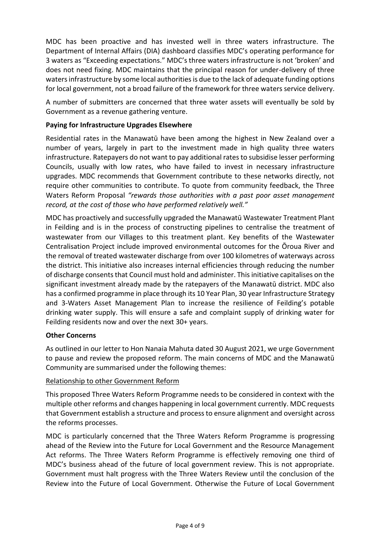MDC has been proactive and has invested well in three waters infrastructure. The Department of Internal Affairs (DIA) dashboard classifies MDC's operating performance for 3 waters as "Exceeding expectations." MDC's three waters infrastructure is not 'broken' and does not need fixing. MDC maintains that the principal reason for under-delivery of three waters infrastructure by some local authorities is due to the lack of adequate funding options for local government, not a broad failure of the framework for three waters service delivery.

A number of submitters are concerned that three water assets will eventually be sold by Government as a revenue gathering venture.

### **Paying for Infrastructure Upgrades Elsewhere**

Residential rates in the Manawatū have been among the highest in New Zealand over a number of years, largely in part to the investment made in high quality three waters infrastructure. Ratepayers do not want to pay additional rates to subsidise lesser performing Councils, usually with low rates, who have failed to invest in necessary infrastructure upgrades. MDC recommends that Government contribute to these networks directly, not require other communities to contribute. To quote from community feedback, the Three Waters Reform Proposal *"rewards those authorities with a past poor asset management record, at the cost of those who have performed relatively well."*

MDC has proactively and successfully upgraded the Manawatū Wastewater Treatment Plant in Feilding and is in the process of constructing pipelines to centralise the treatment of wastewater from our Villages to this treatment plant. Key benefits of the Wastewater Centralisation Project include improved environmental outcomes for the Ōroua River and the removal of treated wastewater discharge from over 100 kilometres of waterways across the district. This initiative also increases internal efficiencies through reducing the number of discharge consents that Council must hold and administer. This initiative capitalises on the significant investment already made by the ratepayers of the Manawatū district. MDC also has a confirmed programme in place through its 10 Year Plan, 30 year Infrastructure Strategy and 3-Waters Asset Management Plan to increase the resilience of Feilding's potable drinking water supply. This will ensure a safe and complaint supply of drinking water for Feilding residents now and over the next 30+ years.

### **Other Concerns**

As outlined in our letter to Hon Nanaia Mahuta dated 30 August 2021, we urge Government to pause and review the proposed reform. The main concerns of MDC and the Manawatū Community are summarised under the following themes:

### Relationship to other Government Reform

This proposed Three Waters Reform Programme needs to be considered in context with the multiple other reforms and changes happening in local government currently. MDC requests that Government establish a structure and process to ensure alignment and oversight across the reforms processes.

MDC is particularly concerned that the Three Waters Reform Programme is progressing ahead of the Review into the Future for Local Government and the Resource Management Act reforms. The Three Waters Reform Programme is effectively removing one third of MDC's business ahead of the future of local government review. This is not appropriate. Government must halt progress with the Three Waters Review until the conclusion of the Review into the Future of Local Government. Otherwise the Future of Local Government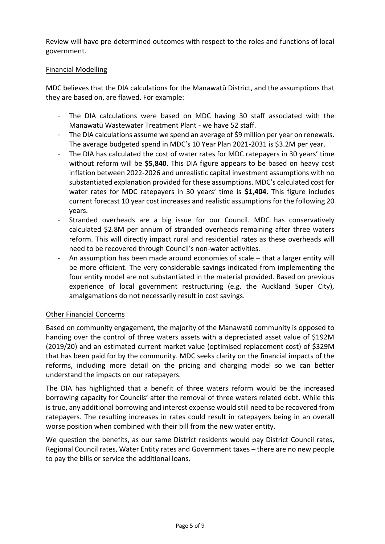Review will have pre-determined outcomes with respect to the roles and functions of local government.

### Financial Modelling

MDC believes that the DIA calculations for the Manawatū District, and the assumptions that they are based on, are flawed. For example:

- The DIA calculations were based on MDC having 30 staff associated with the Manawatū Wastewater Treatment Plant - we have 52 staff.
- The DIA calculations assume we spend an average of \$9 million per year on renewals. The average budgeted spend in MDC's 10 Year Plan 2021-2031 is \$3.2M per year.
- The DIA has calculated the cost of water rates for MDC ratepayers in 30 years' time without reform will be **\$5,840**. This DIA figure appears to be based on heavy cost inflation between 2022-2026 and unrealistic capital investment assumptions with no substantiated explanation provided for these assumptions. MDC's calculated cost for water rates for MDC ratepayers in 30 years' time is **\$1,404**. This figure includes current forecast 10 year cost increases and realistic assumptions for the following 20 years.
- Stranded overheads are a big issue for our Council. MDC has conservatively calculated \$2.8M per annum of stranded overheads remaining after three waters reform. This will directly impact rural and residential rates as these overheads will need to be recovered through Council's non-water activities.
- An assumption has been made around economies of scale that a larger entity will be more efficient. The very considerable savings indicated from implementing the four entity model are not substantiated in the material provided. Based on previous experience of local government restructuring (e.g. the Auckland Super City), amalgamations do not necessarily result in cost savings.

### Other Financial Concerns

Based on community engagement, the majority of the Manawatū community is opposed to handing over the control of three waters assets with a depreciated asset value of \$192M (2019/20) and an estimated current market value (optimised replacement cost) of \$329M that has been paid for by the community. MDC seeks clarity on the financial impacts of the reforms, including more detail on the pricing and charging model so we can better understand the impacts on our ratepayers.

The DIA has highlighted that a benefit of three waters reform would be the increased borrowing capacity for Councils' after the removal of three waters related debt. While this is true, any additional borrowing and interest expense would still need to be recovered from ratepayers. The resulting increases in rates could result in ratepayers being in an overall worse position when combined with their bill from the new water entity.

We question the benefits, as our same District residents would pay District Council rates, Regional Council rates, Water Entity rates and Government taxes – there are no new people to pay the bills or service the additional loans.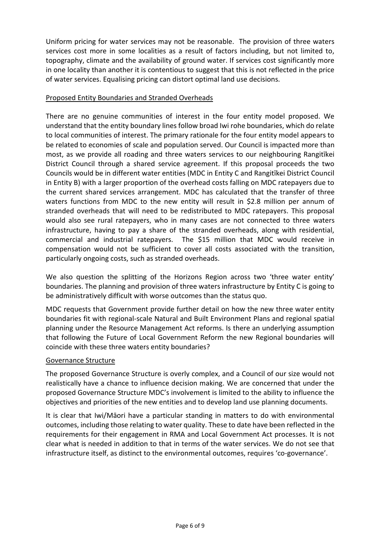Uniform pricing for water services may not be reasonable. The provision of three waters services cost more in some localities as a result of factors including, but not limited to, topography, climate and the availability of ground water. If services cost significantly more in one locality than another it is contentious to suggest that this is not reflected in the price of water services. Equalising pricing can distort optimal land use decisions.

### Proposed Entity Boundaries and Stranded Overheads

There are no genuine communities of interest in the four entity model proposed. We understand that the entity boundary lines follow broad Iwi rohe boundaries, which do relate to local communities of interest. The primary rationale for the four entity model appears to be related to economies of scale and population served. Our Council is impacted more than most, as we provide all roading and three waters services to our neighbouring Rangitīkei District Council through a shared service agreement. If this proposal proceeds the two Councils would be in different water entities (MDC in Entity C and Rangitīkei District Council in Entity B) with a larger proportion of the overhead costs falling on MDC ratepayers due to the current shared services arrangement. MDC has calculated that the transfer of three waters functions from MDC to the new entity will result in \$2.8 million per annum of stranded overheads that will need to be redistributed to MDC ratepayers. This proposal would also see rural ratepayers, who in many cases are not connected to three waters infrastructure, having to pay a share of the stranded overheads, along with residential, commercial and industrial ratepayers. The \$15 million that MDC would receive in compensation would not be sufficient to cover all costs associated with the transition, particularly ongoing costs, such as stranded overheads.

We also question the splitting of the Horizons Region across two 'three water entity' boundaries. The planning and provision of three waters infrastructure by Entity C is going to be administratively difficult with worse outcomes than the status quo.

MDC requests that Government provide further detail on how the new three water entity boundaries fit with regional-scale Natural and Built Environment Plans and regional spatial planning under the Resource Management Act reforms. Is there an underlying assumption that following the Future of Local Government Reform the new Regional boundaries will coincide with these three waters entity boundaries?

### Governance Structure

The proposed Governance Structure is overly complex, and a Council of our size would not realistically have a chance to influence decision making. We are concerned that under the proposed Governance Structure MDC's involvement is limited to the ability to influence the objectives and priorities of the new entities and to develop land use planning documents.

It is clear that Iwi/Māori have a particular standing in matters to do with environmental outcomes, including those relating to water quality. These to date have been reflected in the requirements for their engagement in RMA and Local Government Act processes. It is not clear what is needed in addition to that in terms of the water services. We do not see that infrastructure itself, as distinct to the environmental outcomes, requires 'co-governance'.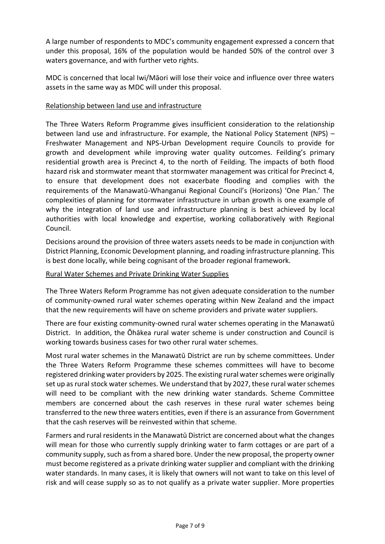A large number of respondents to MDC's community engagement expressed a concern that under this proposal, 16% of the population would be handed 50% of the control over 3 waters governance, and with further veto rights.

MDC is concerned that local Iwi/Māori will lose their voice and influence over three waters assets in the same way as MDC will under this proposal.

# Relationship between land use and infrastructure

The Three Waters Reform Programme gives insufficient consideration to the relationship between land use and infrastructure. For example, the National Policy Statement (NPS) – Freshwater Management and NPS-Urban Development require Councils to provide for growth and development while improving water quality outcomes. Feilding's primary residential growth area is Precinct 4, to the north of Feilding. The impacts of both flood hazard risk and stormwater meant that stormwater management was critical for Precinct 4, to ensure that development does not exacerbate flooding and complies with the requirements of the Manawatū-Whanganui Regional Council's (Horizons) 'One Plan.' The complexities of planning for stormwater infrastructure in urban growth is one example of why the integration of land use and infrastructure planning is best achieved by local authorities with local knowledge and expertise, working collaboratively with Regional Council.

Decisions around the provision of three waters assets needs to be made in conjunction with District Planning, Economic Development planning, and roading infrastructure planning. This is best done locally, while being cognisant of the broader regional framework.

### Rural Water Schemes and Private Drinking Water Supplies

The Three Waters Reform Programme has not given adequate consideration to the number of community-owned rural water schemes operating within New Zealand and the impact that the new requirements will have on scheme providers and private water suppliers.

There are four existing community-owned rural water schemes operating in the Manawatū District. In addition, the Ōhākea rural water scheme is under construction and Council is working towards business cases for two other rural water schemes.

Most rural water schemes in the Manawatū District are run by scheme committees. Under the Three Waters Reform Programme these schemes committees will have to become registered drinking water providers by 2025. The existing rural water schemes were originally set up as rural stock water schemes. We understand that by 2027, these rural water schemes will need to be compliant with the new drinking water standards. Scheme Committee members are concerned about the cash reserves in these rural water schemes being transferred to the new three waters entities, even if there is an assurance from Government that the cash reserves will be reinvested within that scheme.

Farmers and rural residents in the Manawatū District are concerned about what the changes will mean for those who currently supply drinking water to farm cottages or are part of a community supply, such as from a shared bore. Under the new proposal, the property owner must become registered as a private drinking water supplier and compliant with the drinking water standards. In many cases, it is likely that owners will not want to take on this level of risk and will cease supply so as to not qualify as a private water supplier. More properties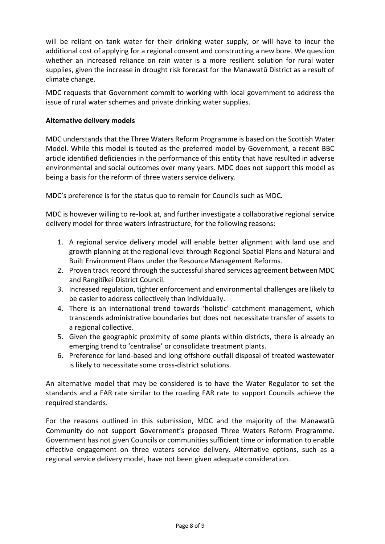will be reliant on tank water for their drinking water supply, or will have to incur the additional cost of applying for a regional consent and constructing a new bore. We question whether an increased reliance on rain water is a more resilient solution for rural water supplies, given the increase in drought risk forecast for the Manawatū District as a result of climate change.

MDC requests that Government commit to working with local government to address the issue of rural water schemes and private drinking water supplies.

### **Alternative delivery models**

MDC understands that the Three Waters Reform Programme is based on the Scottish Water Model. While this model is touted as the preferred model by Government, a recent BBC article identified deficiencies in the performance of this entity that have resulted in adverse environmental and social outcomes over many years. MDC does not support this model as being a basis for the reform of three waters service delivery.

MDC's preference is for the status quo to remain for Councils such as MDC.

MDC is however willing to re-look at, and further investigate a collaborative regional service delivery model for three waters infrastructure, for the following reasons:

- 1. A regional service delivery model will enable better alignment with land use and growth planning at the regional level through Regional Spatial Plans and Natural and Built Environment Plans under the Resource Management Reforms.
- 2. Proven track record through the successful shared services agreement between MDC and Rangitīkei District Council.
- 3. Increased regulation, tighter enforcement and environmental challenges are likely to be easier to address collectively than individually.
- 4. There is an international trend towards 'holistic' catchment management, which transcends administrative boundaries but does not necessitate transfer of assets to a regional collective.
- 5. Given the geographic proximity of some plants within districts, there is already an emerging trend to 'centralise' or consolidate treatment plants.
- 6. Preference for land-based and long offshore outfall disposal of treated wastewater is likely to necessitate some cross-district solutions.

An alternative model that may be considered is to have the Water Regulator to set the standards and a FAR rate similar to the roading FAR rate to support Councils achieve the required standards.

For the reasons outlined in this submission, MDC and the majority of the Manawatū Community do not support Government's proposed Three Waters Reform Programme. Government has not given Councils or communities sufficient time or information to enable effective engagement on three waters service delivery. Alternative options, such as a regional service delivery model, have not been given adequate consideration.